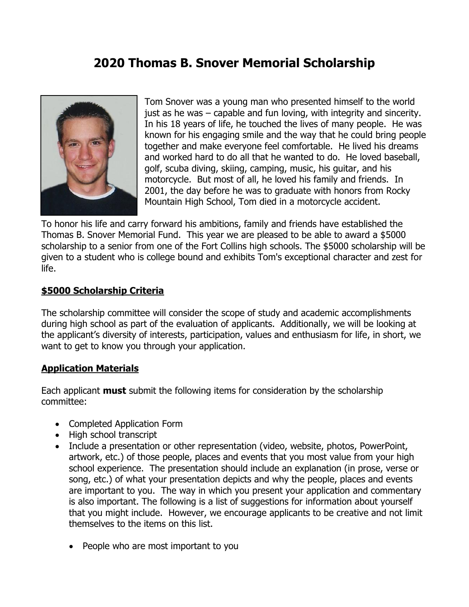## **2020 Thomas B. Snover Memorial Scholarship**



Tom Snover was a young man who presented himself to the world just as he was – capable and fun loving, with integrity and sincerity. In his 18 years of life, he touched the lives of many people. He was known for his engaging smile and the way that he could bring people together and make everyone feel comfortable. He lived his dreams and worked hard to do all that he wanted to do. He loved baseball, golf, scuba diving, skiing, camping, music, his guitar, and his motorcycle. But most of all, he loved his family and friends. In 2001, the day before he was to graduate with honors from Rocky Mountain High School, Tom died in a motorcycle accident.

To honor his life and carry forward his ambitions, family and friends have established the Thomas B. Snover Memorial Fund. This year we are pleased to be able to award a \$5000 scholarship to a senior from one of the Fort Collins high schools. The \$5000 scholarship will be given to a student who is college bound and exhibits Tom's exceptional character and zest for life.

### **\$5000 Scholarship Criteria**

The scholarship committee will consider the scope of study and academic accomplishments during high school as part of the evaluation of applicants. Additionally, we will be looking at the applicant's diversity of interests, participation, values and enthusiasm for life, in short, we want to get to know you through your application.

### **Application Materials**

Each applicant **must** submit the following items for consideration by the scholarship committee:

- Completed Application Form
- High school transcript
- Include a presentation or other representation (video, website, photos, PowerPoint, artwork, etc.) of those people, places and events that you most value from your high school experience. The presentation should include an explanation (in prose, verse or song, etc.) of what your presentation depicts and why the people, places and events are important to you. The way in which you present your application and commentary is also important. The following is a list of suggestions for information about yourself that you might include. However, we encourage applicants to be creative and not limit themselves to the items on this list.
	- People who are most important to you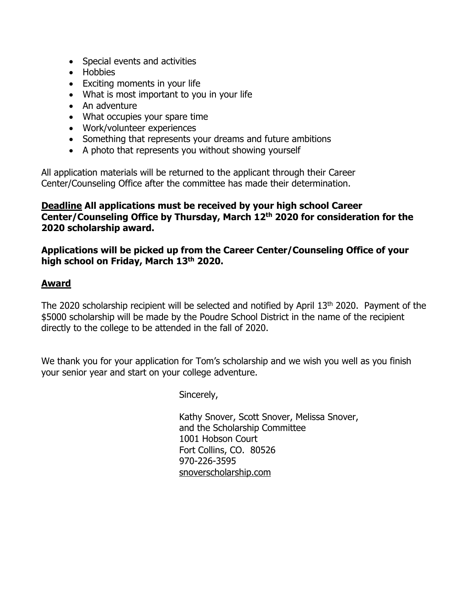- Special events and activities
- Hobbies
- Exciting moments in your life
- What is most important to you in your life
- An adventure
- What occupies your spare time
- Work/volunteer experiences
- Something that represents your dreams and future ambitions
- A photo that represents you without showing yourself

All application materials will be returned to the applicant through their Career Center/Counseling Office after the committee has made their determination.

**Deadline All applications must be received by your high school Career Center/Counseling Office by Thursday, March 12 th 2020 for consideration for the 2020 scholarship award.**

**Applications will be picked up from the Career Center/Counseling Office of your high school on Friday, March 13 th 2020.**

### **Award**

The 2020 scholarship recipient will be selected and notified by April 13<sup>th</sup> 2020. Payment of the \$5000 scholarship will be made by the Poudre School District in the name of the recipient directly to the college to be attended in the fall of 2020.

We thank you for your application for Tom's scholarship and we wish you well as you finish your senior year and start on your college adventure.

Sincerely,

Kathy Snover, Scott Snover, Melissa Snover, and the Scholarship Committee 1001 Hobson Court Fort Collins, CO. 80526 970-226-3595 snoverscholarship.com